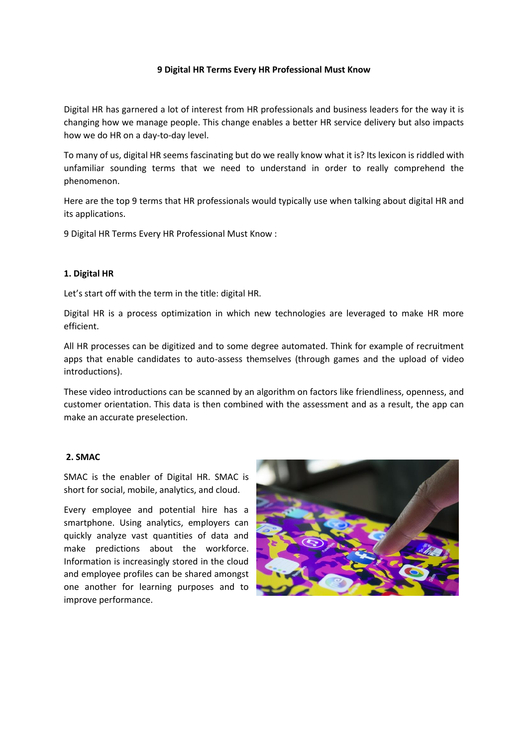# **9 Digital HR Terms Every HR Professional Must Know**

Digital HR has garnered a lot of interest from HR professionals and business leaders for the way it is changing how we manage people. This change enables a better HR service delivery but also impacts how we do HR on a day-to-day level.

To many of us, digital HR seems fascinating but do we really know what it is? Its lexicon is riddled with unfamiliar sounding terms that we need to understand in order to really comprehend the phenomenon.

Here are the top 9 terms that HR professionals would typically use when talking about digital HR and its applications.

9 Digital HR Terms Every HR Professional Must Know :

#### **1. Digital HR**

Let's start off with the term in the title: digital HR.

Digital HR is a process optimization in which new technologies are leveraged to make HR more efficient.

All HR processes can be digitized and to some degree automated. Think for example of recruitment apps that enable candidates to auto-assess themselves (through games and the upload of video introductions).

These video introductions can be scanned by an algorithm on factors like friendliness, openness, and customer orientation. This data is then combined with the assessment and as a result, the app can make an accurate preselection.

# **2. SMAC**

SMAC is the enabler of Digital HR. SMAC is short for social, mobile, analytics, and cloud.

Every employee and potential hire has a smartphone. Using analytics, employers can quickly analyze vast quantities of data and make predictions about the workforce. Information is increasingly stored in the cloud and employee profiles can be shared amongst one another for learning purposes and to improve performance.

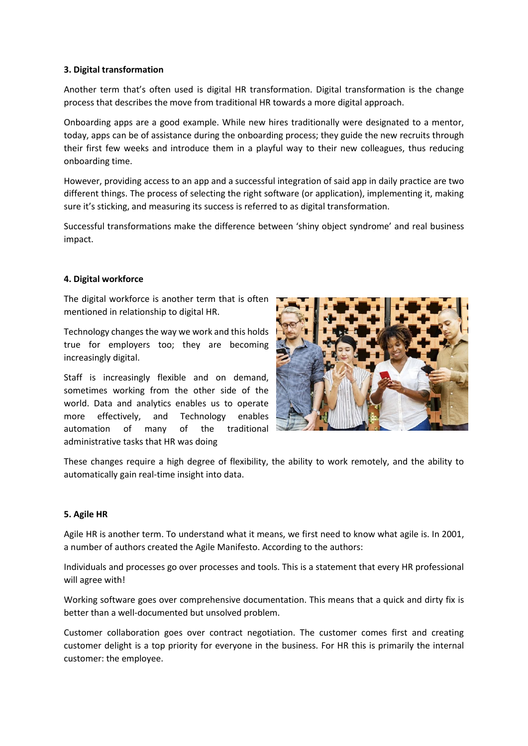# **3. Digital transformation**

Another term that's often used is digital HR transformation. Digital transformation is the change process that describes the move from traditional HR towards a more digital approach.

Onboarding apps are a good example. While new hires traditionally were designated to a mentor, today, apps can be of assistance during the onboarding process; they guide the new recruits through their first few weeks and introduce them in a playful way to their new colleagues, thus reducing onboarding time.

However, providing access to an app and a successful integration of said app in daily practice are two different things. The process of selecting the right software (or application), implementing it, making sure it's sticking, and measuring its success is referred to as digital transformation.

Successful transformations make the difference between 'shiny object syndrome' and real business impact.

# **4. Digital workforce**

The digital workforce is another term that is often mentioned in relationship to digital HR.

Technology changes the way we work and this holds true for employers too; they are becoming increasingly digital.

Staff is increasingly flexible and on demand, sometimes working from the other side of the world. Data and analytics enables us to operate more effectively, and Technology enables automation of many of the traditional administrative tasks that HR was doing



These changes require a high degree of flexibility, the ability to work remotely, and the ability to automatically gain real-time insight into data.

#### **5. Agile HR**

Agile HR is another term. To understand what it means, we first need to know what agile is. In 2001, a number of authors created the Agile Manifesto. According to the authors:

Individuals and processes go over processes and tools. This is a statement that every HR professional will agree with!

Working software goes over comprehensive documentation. This means that a quick and dirty fix is better than a well-documented but unsolved problem.

Customer collaboration goes over contract negotiation. The customer comes first and creating customer delight is a top priority for everyone in the business. For HR this is primarily the internal customer: the employee.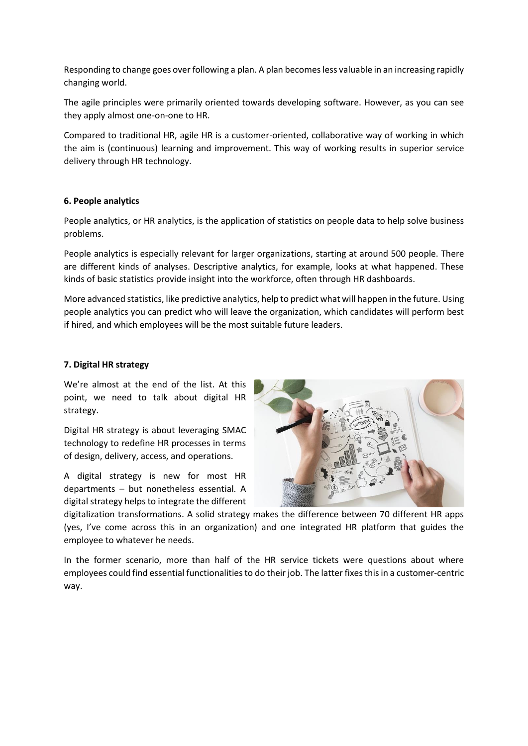Responding to change goes over following a plan. A plan becomes less valuable in an increasing rapidly changing world.

The agile principles were primarily oriented towards developing software. However, as you can see they apply almost one-on-one to HR.

Compared to traditional HR, agile HR is a customer-oriented, collaborative way of working in which the aim is (continuous) learning and improvement. This way of working results in superior service delivery through HR technology.

# **6. People analytics**

People analytics, or HR analytics, is the application of statistics on people data to help solve business problems.

People analytics is especially relevant for larger organizations, starting at around 500 people. There are different kinds of analyses. Descriptive analytics, for example, looks at what happened. These kinds of basic statistics provide insight into the workforce, often through HR dashboards.

More advanced statistics, like predictive analytics, help to predict what will happen in the future. Using people analytics you can predict who will leave the organization, which candidates will perform best if hired, and which employees will be the most suitable future leaders.

#### **7. Digital HR strategy**

We're almost at the end of the list. At this point, we need to talk about digital HR strategy.

Digital HR strategy is about leveraging SMAC technology to redefine HR processes in terms of design, delivery, access, and operations.

A digital strategy is new for most HR departments – but nonetheless essential. A digital strategy helps to integrate the different



digitalization transformations. A solid strategy makes the difference between 70 different HR apps (yes, I've come across this in an organization) and one integrated HR platform that guides the employee to whatever he needs.

In the former scenario, more than half of the HR service tickets were questions about where employees could find essential functionalities to do their job. The latter fixes this in a customer-centric way.